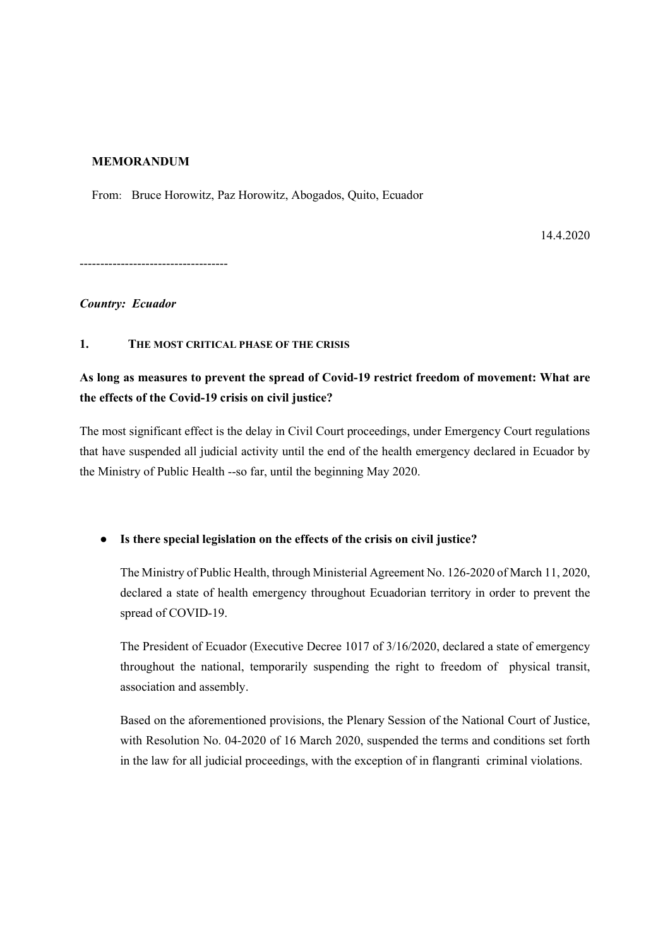## MEMORANDUM

From: Bruce Horowitz, Paz Horowitz, Abogados, Quito, Ecuador

14.4.2020

------------------------------------

#### Country: Ecuador

#### 1. THE MOST CRITICAL PHASE OF THE CRISIS

# As long as measures to prevent the spread of Covid-19 restrict freedom of movement: What are the effects of the Covid-19 crisis on civil justice?

The most significant effect is the delay in Civil Court proceedings, under Emergency Court regulations that have suspended all judicial activity until the end of the health emergency declared in Ecuador by the Ministry of Public Health --so far, until the beginning May 2020.

● Is there special legislation on the effects of the crisis on civil justice?

The Ministry of Public Health, through Ministerial Agreement No. 126-2020 of March 11, 2020, declared a state of health emergency throughout Ecuadorian territory in order to prevent the spread of COVID-19.

The President of Ecuador (Executive Decree 1017 of 3/16/2020, declared a state of emergency throughout the national, temporarily suspending the right to freedom of physical transit, association and assembly.

Based on the aforementioned provisions, the Plenary Session of the National Court of Justice, with Resolution No. 04-2020 of 16 March 2020, suspended the terms and conditions set forth in the law for all judicial proceedings, with the exception of in flangranti criminal violations.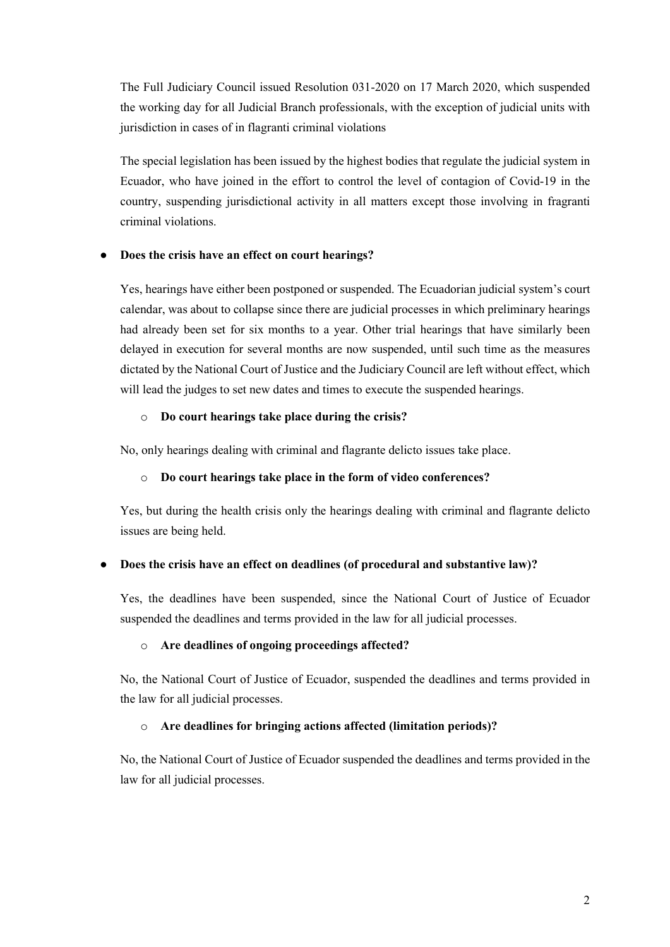The Full Judiciary Council issued Resolution 031-2020 on 17 March 2020, which suspended the working day for all Judicial Branch professionals, with the exception of judicial units with jurisdiction in cases of in flagranti criminal violations

The special legislation has been issued by the highest bodies that regulate the judicial system in Ecuador, who have joined in the effort to control the level of contagion of Covid-19 in the country, suspending jurisdictional activity in all matters except those involving in fragranti criminal violations.

# Does the crisis have an effect on court hearings?

Yes, hearings have either been postponed or suspended. The Ecuadorian judicial system's court calendar, was about to collapse since there are judicial processes in which preliminary hearings had already been set for six months to a year. Other trial hearings that have similarly been delayed in execution for several months are now suspended, until such time as the measures dictated by the National Court of Justice and the Judiciary Council are left without effect, which will lead the judges to set new dates and times to execute the suspended hearings.

# o Do court hearings take place during the crisis?

No, only hearings dealing with criminal and flagrante delicto issues take place.

# o Do court hearings take place in the form of video conferences?

Yes, but during the health crisis only the hearings dealing with criminal and flagrante delicto issues are being held.

# Does the crisis have an effect on deadlines (of procedural and substantive law)?

Yes, the deadlines have been suspended, since the National Court of Justice of Ecuador suspended the deadlines and terms provided in the law for all judicial processes.

# o Are deadlines of ongoing proceedings affected?

No, the National Court of Justice of Ecuador, suspended the deadlines and terms provided in the law for all judicial processes.

# o Are deadlines for bringing actions affected (limitation periods)?

No, the National Court of Justice of Ecuador suspended the deadlines and terms provided in the law for all judicial processes.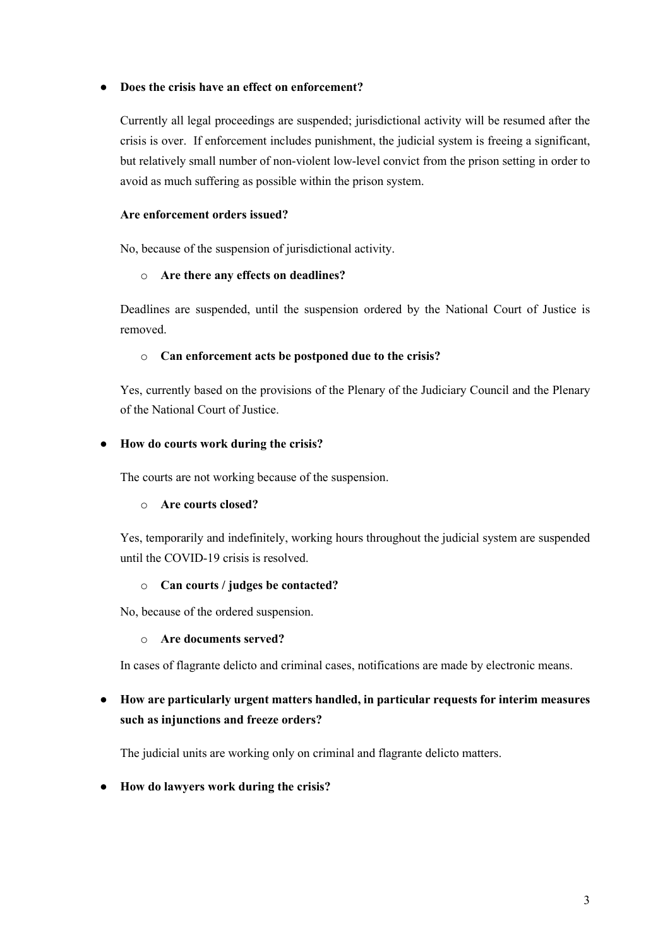# ● Does the crisis have an effect on enforcement?

Currently all legal proceedings are suspended; jurisdictional activity will be resumed after the crisis is over. If enforcement includes punishment, the judicial system is freeing a significant, but relatively small number of non-violent low-level convict from the prison setting in order to avoid as much suffering as possible within the prison system.

# Are enforcement orders issued?

No, because of the suspension of jurisdictional activity.

## o Are there any effects on deadlines?

Deadlines are suspended, until the suspension ordered by the National Court of Justice is removed.

## o Can enforcement acts be postponed due to the crisis?

Yes, currently based on the provisions of the Plenary of the Judiciary Council and the Plenary of the National Court of Justice.

## ● How do courts work during the crisis?

The courts are not working because of the suspension.

#### o Are courts closed?

Yes, temporarily and indefinitely, working hours throughout the judicial system are suspended until the COVID-19 crisis is resolved.

#### o Can courts / judges be contacted?

No, because of the ordered suspension.

#### o Are documents served?

In cases of flagrante delicto and criminal cases, notifications are made by electronic means.

# ● How are particularly urgent matters handled, in particular requests for interim measures such as injunctions and freeze orders?

The judicial units are working only on criminal and flagrante delicto matters.

# ● How do lawyers work during the crisis?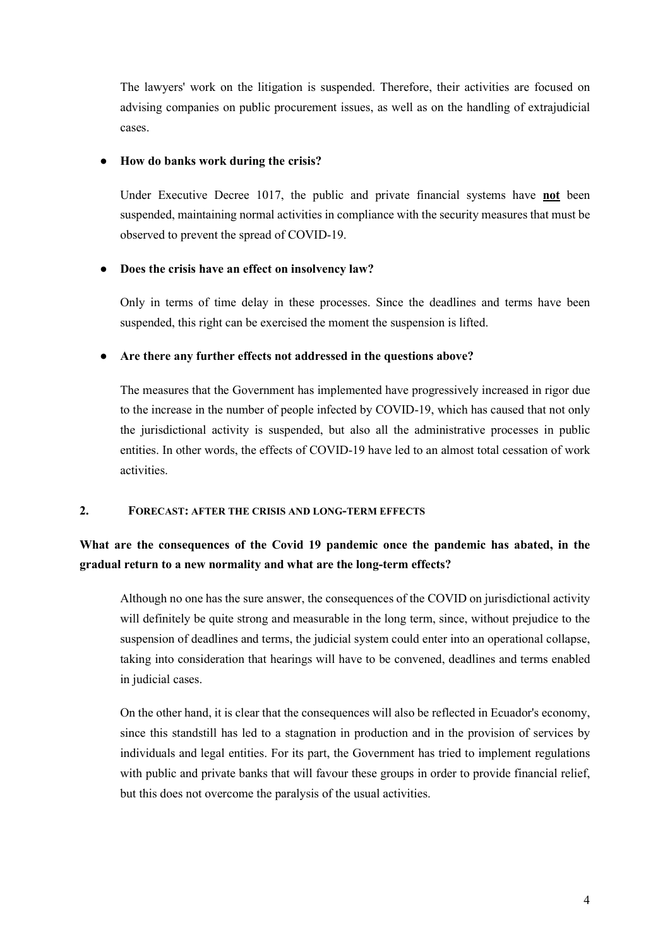The lawyers' work on the litigation is suspended. Therefore, their activities are focused on advising companies on public procurement issues, as well as on the handling of extrajudicial cases.

## How do banks work during the crisis?

Under Executive Decree 1017, the public and private financial systems have not been suspended, maintaining normal activities in compliance with the security measures that must be observed to prevent the spread of COVID-19.

## ● Does the crisis have an effect on insolvency law?

Only in terms of time delay in these processes. Since the deadlines and terms have been suspended, this right can be exercised the moment the suspension is lifted.

## • Are there any further effects not addressed in the questions above?

The measures that the Government has implemented have progressively increased in rigor due to the increase in the number of people infected by COVID-19, which has caused that not only the jurisdictional activity is suspended, but also all the administrative processes in public entities. In other words, the effects of COVID-19 have led to an almost total cessation of work activities.

#### 2. FORECAST: AFTER THE CRISIS AND LONG-TERM EFFECTS

# What are the consequences of the Covid 19 pandemic once the pandemic has abated, in the gradual return to a new normality and what are the long-term effects?

Although no one has the sure answer, the consequences of the COVID on jurisdictional activity will definitely be quite strong and measurable in the long term, since, without prejudice to the suspension of deadlines and terms, the judicial system could enter into an operational collapse, taking into consideration that hearings will have to be convened, deadlines and terms enabled in judicial cases.

On the other hand, it is clear that the consequences will also be reflected in Ecuador's economy, since this standstill has led to a stagnation in production and in the provision of services by individuals and legal entities. For its part, the Government has tried to implement regulations with public and private banks that will favour these groups in order to provide financial relief, but this does not overcome the paralysis of the usual activities.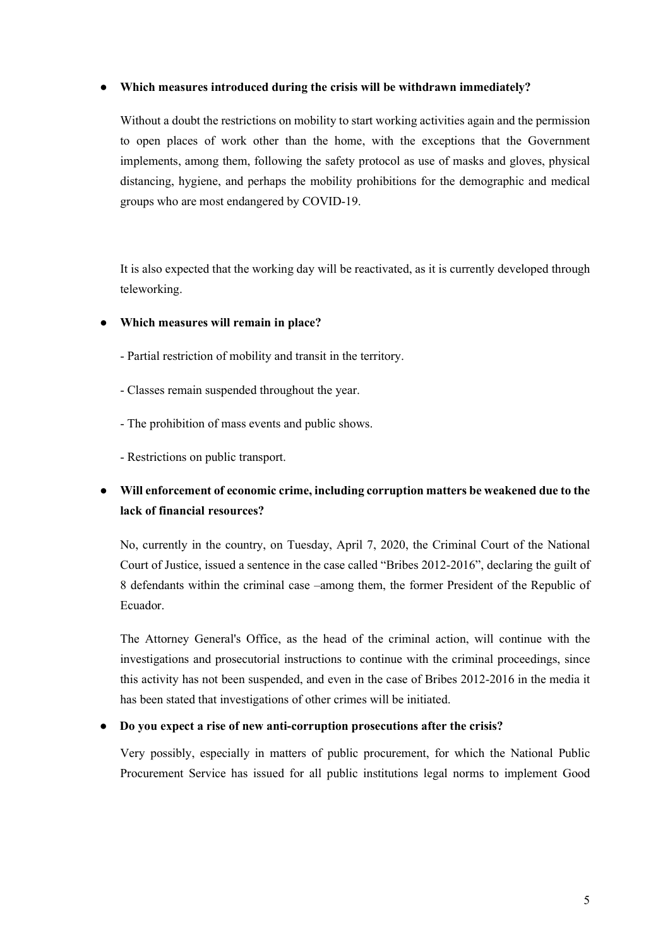#### ● Which measures introduced during the crisis will be withdrawn immediately?

Without a doubt the restrictions on mobility to start working activities again and the permission to open places of work other than the home, with the exceptions that the Government implements, among them, following the safety protocol as use of masks and gloves, physical distancing, hygiene, and perhaps the mobility prohibitions for the demographic and medical groups who are most endangered by COVID-19.

It is also expected that the working day will be reactivated, as it is currently developed through teleworking.

- Which measures will remain in place?
	- Partial restriction of mobility and transit in the territory.
	- Classes remain suspended throughout the year.
	- The prohibition of mass events and public shows.
	- Restrictions on public transport.

# ● Will enforcement of economic crime, including corruption matters be weakened due to the lack of financial resources?

No, currently in the country, on Tuesday, April 7, 2020, the Criminal Court of the National Court of Justice, issued a sentence in the case called "Bribes 2012-2016", declaring the guilt of 8 defendants within the criminal case –among them, the former President of the Republic of Ecuador.

The Attorney General's Office, as the head of the criminal action, will continue with the investigations and prosecutorial instructions to continue with the criminal proceedings, since this activity has not been suspended, and even in the case of Bribes 2012-2016 in the media it has been stated that investigations of other crimes will be initiated.

#### Do you expect a rise of new anti-corruption prosecutions after the crisis?

Very possibly, especially in matters of public procurement, for which the National Public Procurement Service has issued for all public institutions legal norms to implement Good